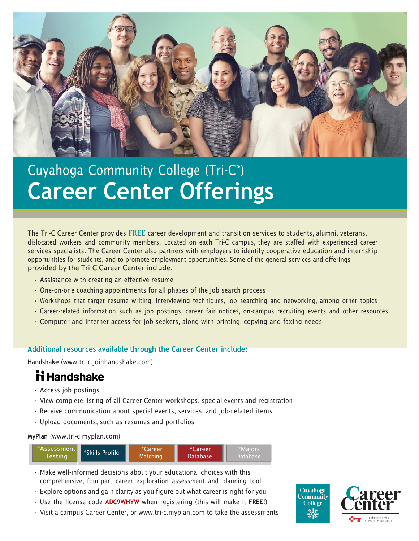

# Cuyahoga Community College (Tri-C® ) **Career Center Offerings**

The Tri-C Career Center provides **FREE** career development and transition services to students, alumni, veterans, dislocated workers and community members. Located on each Tri-C campus, they are staffed with experienced career services specialists. The Career Center also partners with employers to identify cooperative education and internship opportunities for students, and to promote employment opportunities. Some of the general services and offerings provided by the Tri-C Career Center include:

- Assistance with creating an effective resume
- One-on-one coaching appointments for all phases of the job search process
- Workshops that target resume writing, interviewing techniques, job searching and networking, among other topics
- Career-related information such as job postings, career fair notices, on-campus recruiting events and other resources
- Computer and internet access for job seekers, along with printing, copying and faxing needs

#### **Additional resources available through the Career Center include:**

**Handshake** (www.tri-c.joinhandshake.com)

# **ii** Handshake

- Access job postings
- View complete listing of all Career Center workshops, special events and registration
- Receive communication about special events, services, and job-related items
- Upload documents, such as resumes and portfolios

#### **MyPlan** (www.tri-c.myplan.com)



- Make well-informed decisions about your educational choices with this comprehensive, four-part career exploration assessment and planning tool
- Explore options and gain clarity as you figure out what career is right for you
- Use the license code **ADC9WHYW** when registering (this will make it **FREE!**)
- Visit a campus Career Center, or [www.tri-c.myplan.com](http://www.tri-c.myplan.com/) to take the assessments

**Cuvahoga** Community **College**